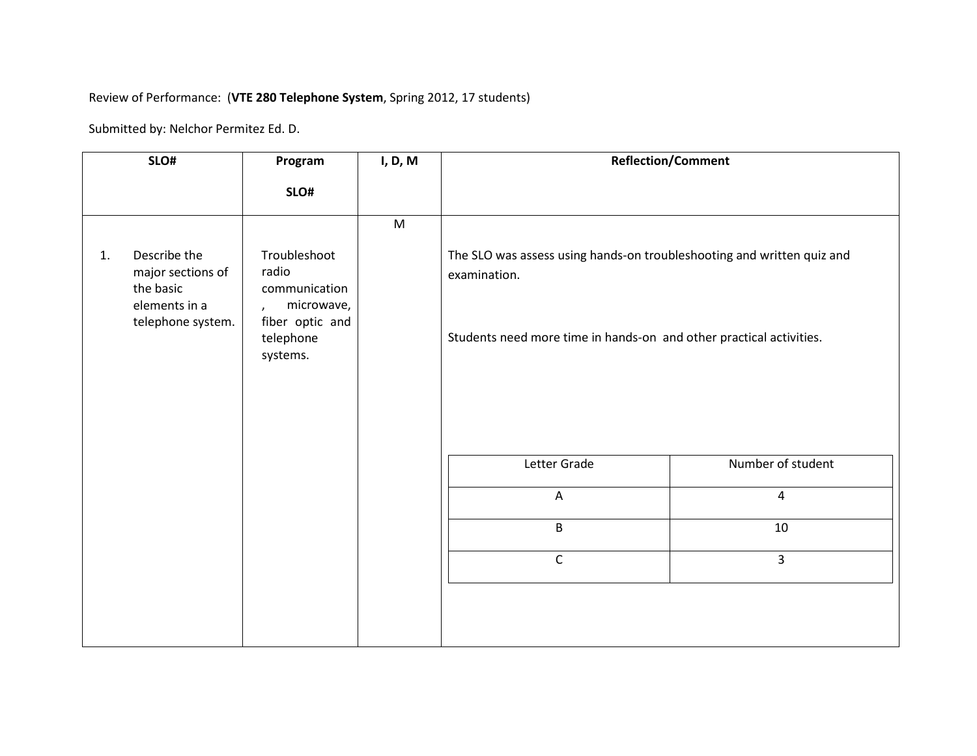# Review of Performance: (**VTE 280 Telephone System**, Spring 2012, 17 students)

|    | SLO#                                                                                 | Program                                                                              | I, D, M | <b>Reflection/Comment</b>                                                              |                   |
|----|--------------------------------------------------------------------------------------|--------------------------------------------------------------------------------------|---------|----------------------------------------------------------------------------------------|-------------------|
|    |                                                                                      | SLO#                                                                                 |         |                                                                                        |                   |
|    |                                                                                      |                                                                                      | M       |                                                                                        |                   |
| 1. | Describe the<br>major sections of<br>the basic<br>elements in a<br>telephone system. | Troubleshoot<br>radio<br>communication<br>microwave,<br>$\lambda$<br>fiber optic and |         | The SLO was assess using hands-on troubleshooting and written quiz and<br>examination. |                   |
|    |                                                                                      | telephone<br>systems.                                                                |         | Students need more time in hands-on and other practical activities.                    |                   |
|    |                                                                                      |                                                                                      |         | Letter Grade                                                                           | Number of student |
|    |                                                                                      |                                                                                      |         | Α                                                                                      | $\overline{4}$    |
|    |                                                                                      |                                                                                      |         | $\sf B$                                                                                | 10                |
|    |                                                                                      |                                                                                      |         | $\mathsf{C}$                                                                           | $\overline{3}$    |
|    |                                                                                      |                                                                                      |         |                                                                                        |                   |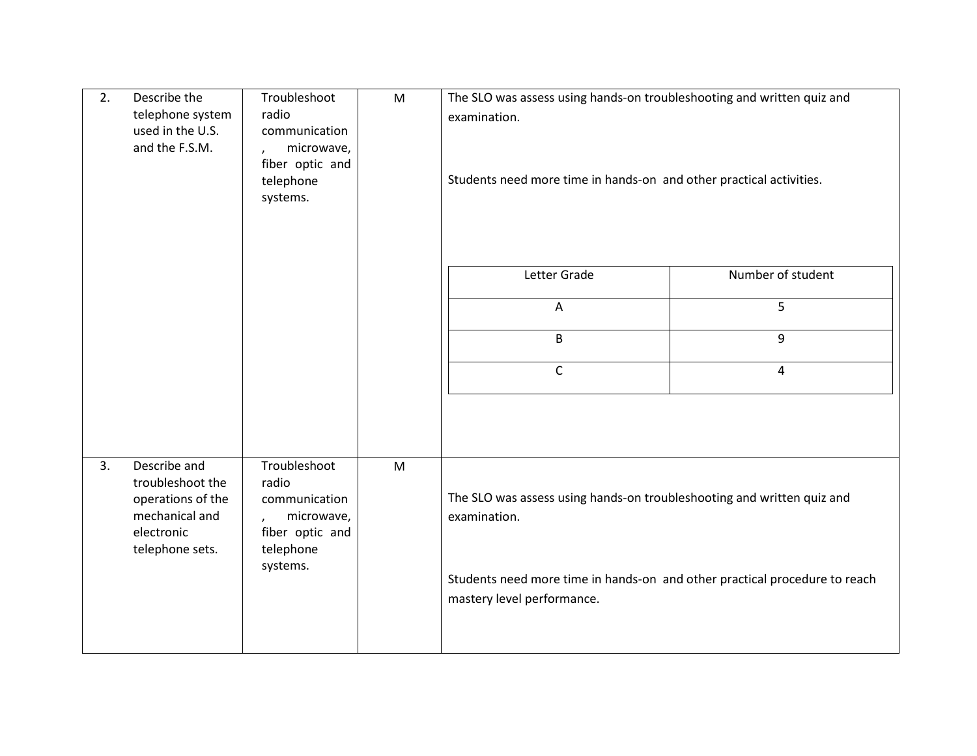| 2. | Describe the<br>telephone system<br>used in the U.S.<br>and the F.S.M.  | Troubleshoot<br>radio<br>communication<br>microwave,<br>$\lambda$<br>fiber optic and<br>telephone<br>systems. | M | The SLO was assess using hands-on troubleshooting and written quiz and<br>examination.<br>Students need more time in hands-on and other practical activities. |                   |
|----|-------------------------------------------------------------------------|---------------------------------------------------------------------------------------------------------------|---|---------------------------------------------------------------------------------------------------------------------------------------------------------------|-------------------|
|    |                                                                         |                                                                                                               |   | Letter Grade                                                                                                                                                  | Number of student |
|    |                                                                         |                                                                                                               |   | Α                                                                                                                                                             | 5                 |
|    |                                                                         |                                                                                                               |   | B                                                                                                                                                             | 9                 |
|    |                                                                         |                                                                                                               |   | $\mathsf{C}$                                                                                                                                                  | $\overline{4}$    |
| 3. | Describe and<br>troubleshoot the<br>operations of the<br>mechanical and | Troubleshoot<br>radio<br>communication<br>microwave,                                                          | M | The SLO was assess using hands-on troubleshooting and written quiz and<br>examination.                                                                        |                   |
|    | electronic<br>telephone sets.                                           | fiber optic and<br>telephone<br>systems.                                                                      |   | Students need more time in hands-on and other practical procedure to reach                                                                                    |                   |
|    |                                                                         |                                                                                                               |   | mastery level performance.                                                                                                                                    |                   |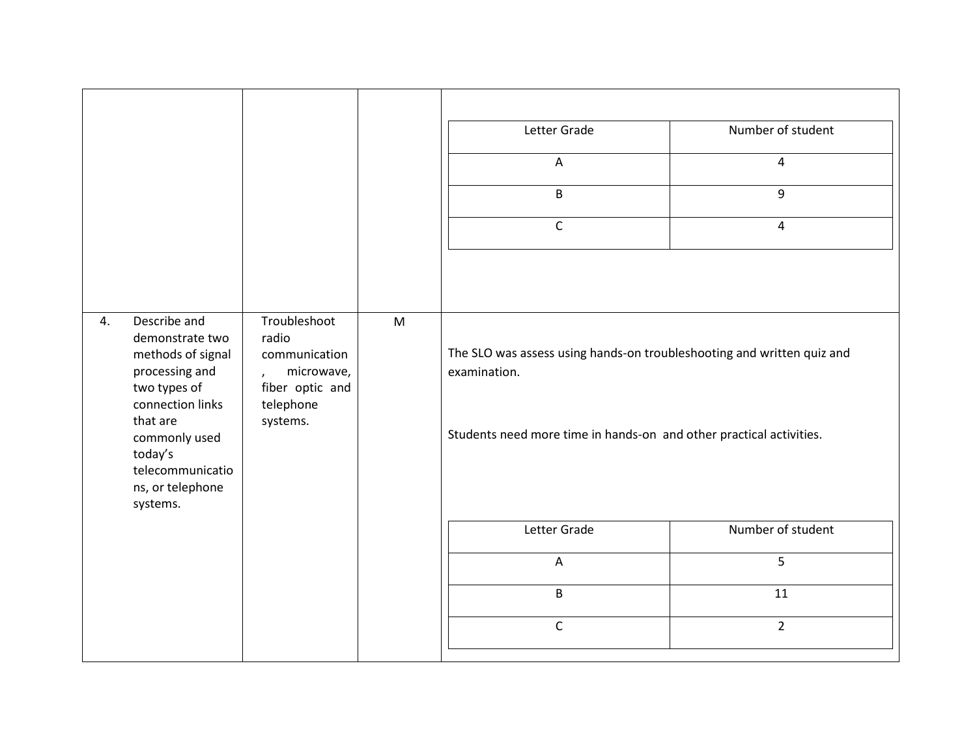|    |                                                                                                                                                                                                        |                                                                                                                    |                                                                                                                                                               | Letter Grade              | Number of student |
|----|--------------------------------------------------------------------------------------------------------------------------------------------------------------------------------------------------------|--------------------------------------------------------------------------------------------------------------------|---------------------------------------------------------------------------------------------------------------------------------------------------------------|---------------------------|-------------------|
|    |                                                                                                                                                                                                        |                                                                                                                    |                                                                                                                                                               | $\boldsymbol{\mathsf{A}}$ | $\overline{4}$    |
|    |                                                                                                                                                                                                        |                                                                                                                    |                                                                                                                                                               | $\sf B$                   | 9                 |
|    |                                                                                                                                                                                                        |                                                                                                                    |                                                                                                                                                               | $\mathsf C$               | $\overline{4}$    |
|    |                                                                                                                                                                                                        |                                                                                                                    |                                                                                                                                                               |                           |                   |
|    |                                                                                                                                                                                                        |                                                                                                                    |                                                                                                                                                               |                           |                   |
| 4. | Describe and<br>demonstrate two<br>methods of signal<br>processing and<br>two types of<br>connection links<br>that are<br>commonly used<br>today's<br>telecommunicatio<br>ns, or telephone<br>systems. | Troubleshoot<br>M<br>radio<br>communication<br>microwave,<br>$\lambda$<br>fiber optic and<br>telephone<br>systems. | The SLO was assess using hands-on troubleshooting and written quiz and<br>examination.<br>Students need more time in hands-on and other practical activities. |                           |                   |
|    |                                                                                                                                                                                                        |                                                                                                                    |                                                                                                                                                               | Letter Grade              | Number of student |
|    |                                                                                                                                                                                                        |                                                                                                                    |                                                                                                                                                               | $\boldsymbol{\mathsf{A}}$ | 5                 |
|    |                                                                                                                                                                                                        |                                                                                                                    |                                                                                                                                                               | $\mathsf B$               | 11                |
|    |                                                                                                                                                                                                        |                                                                                                                    |                                                                                                                                                               | $\mathsf C$               | $\overline{2}$    |
|    |                                                                                                                                                                                                        |                                                                                                                    |                                                                                                                                                               |                           |                   |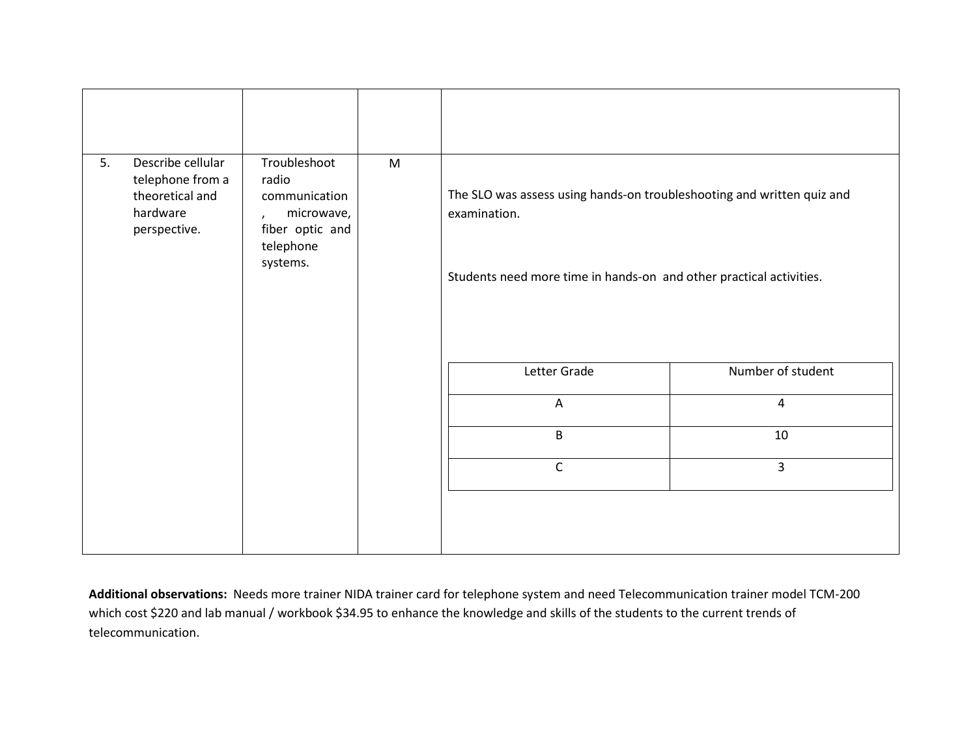| Describe cellular<br>Troubleshoot<br>${\sf M}$<br>5.<br>telephone from a<br>radio<br>theoretical and<br>communication<br>hardware<br>microwave,<br>$\mathbf{r}$<br>fiber optic and<br>perspective.<br>telephone<br>systems. |  | The SLO was assess using hands-on troubleshooting and written quiz and<br>examination.<br>Students need more time in hands-on and other practical activities. |              |                   |
|-----------------------------------------------------------------------------------------------------------------------------------------------------------------------------------------------------------------------------|--|---------------------------------------------------------------------------------------------------------------------------------------------------------------|--------------|-------------------|
|                                                                                                                                                                                                                             |  |                                                                                                                                                               | Letter Grade | Number of student |
|                                                                                                                                                                                                                             |  |                                                                                                                                                               | A            | $\overline{4}$    |
|                                                                                                                                                                                                                             |  |                                                                                                                                                               | $\mathsf B$  | 10                |
|                                                                                                                                                                                                                             |  |                                                                                                                                                               | $\mathsf C$  | $\overline{3}$    |
|                                                                                                                                                                                                                             |  |                                                                                                                                                               |              |                   |

**Additional observations:** Needs more trainer NIDA trainer card for telephone system and need Telecommunication trainer model TCM-200 which cost \$220 and lab manual / workbook \$34.95 to enhance the knowledge and skills of the students to the current trends of telecommunication.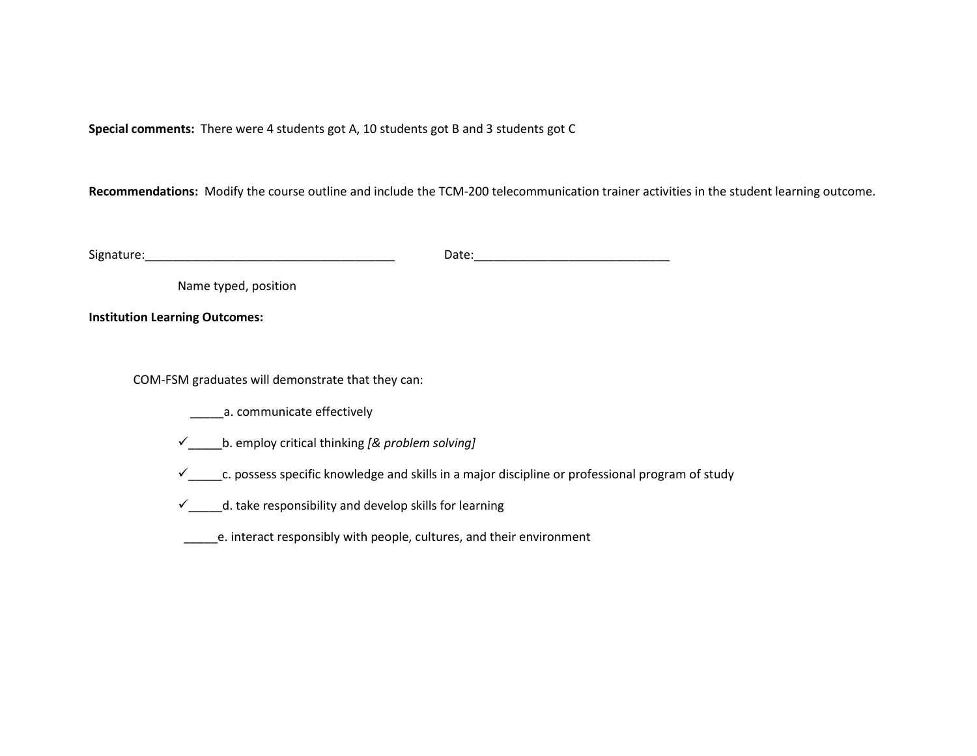**Special comments:** There were 4 students got A, 10 students got B and 3 students got C

**Recommendations:** Modify the course outline and include the TCM-200 telecommunication trainer activities in the student learning outcome.

| $\sim$<br>enatursاد | ----<br>Jdle<br>. |
|---------------------|-------------------|
|                     |                   |

Name typed, position

**Institution Learning Outcomes:**

COM-FSM graduates will demonstrate that they can:

\_\_\_\_\_\_\_\_a. communicate effectively

\_\_\_\_\_b. employ critical thinking *[& problem solving]*

 $\checkmark$ <sub>\_\_\_\_\_\_</sub>c. possess specific knowledge and skills in a major discipline or professional program of study

 $\checkmark$  \_\_\_\_\_d. take responsibility and develop skills for learning

\_\_\_\_\_e. interact responsibly with people, cultures, and their environment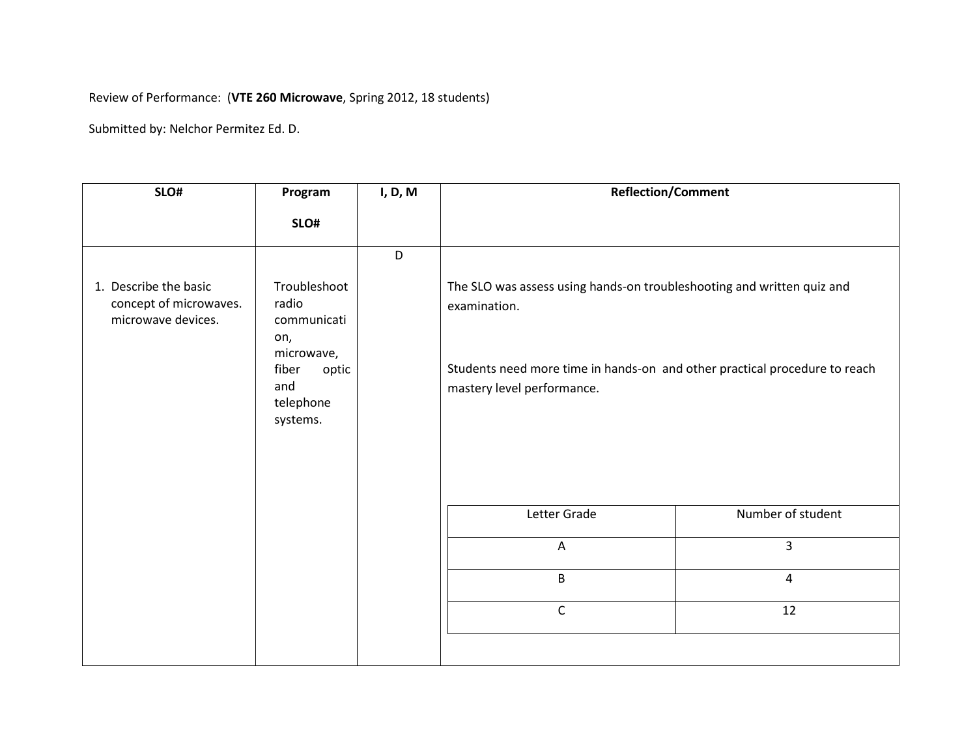# Review of Performance: (**VTE 260 Microwave**, Spring 2012, 18 students)

| SLO#                                                                  | Program                                                                                                                                                                                                                                                                                                           | I, D, M | <b>Reflection/Comment</b> |                   |
|-----------------------------------------------------------------------|-------------------------------------------------------------------------------------------------------------------------------------------------------------------------------------------------------------------------------------------------------------------------------------------------------------------|---------|---------------------------|-------------------|
|                                                                       | SLO#                                                                                                                                                                                                                                                                                                              |         |                           |                   |
|                                                                       |                                                                                                                                                                                                                                                                                                                   | D       |                           |                   |
| 1. Describe the basic<br>concept of microwaves.<br>microwave devices. | Troubleshoot<br>The SLO was assess using hands-on troubleshooting and written quiz and<br>radio<br>examination.<br>communicati<br>on,<br>microwave,<br>Students need more time in hands-on and other practical procedure to reach<br>fiber<br>optic<br>and<br>mastery level performance.<br>telephone<br>systems. |         |                           |                   |
|                                                                       |                                                                                                                                                                                                                                                                                                                   |         | Letter Grade              | Number of student |
|                                                                       |                                                                                                                                                                                                                                                                                                                   |         | A                         | $\overline{3}$    |
|                                                                       |                                                                                                                                                                                                                                                                                                                   |         | B                         | $\overline{4}$    |
|                                                                       |                                                                                                                                                                                                                                                                                                                   |         | $\mathsf C$               | 12                |
|                                                                       |                                                                                                                                                                                                                                                                                                                   |         |                           |                   |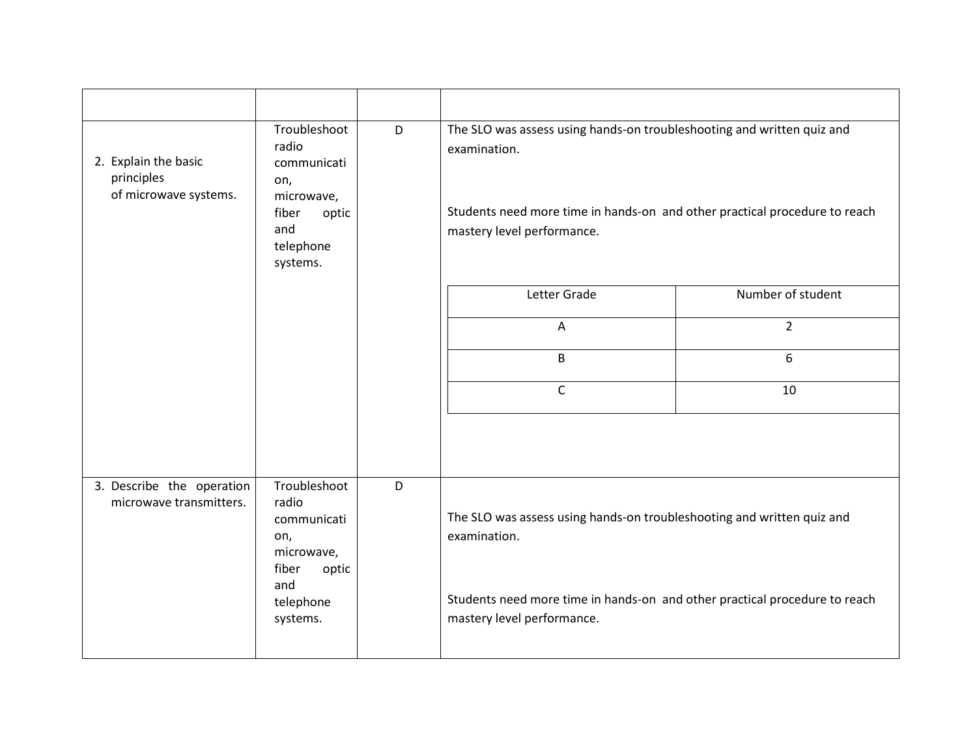| 2. Explain the basic<br>principles<br>of microwave systems. | Troubleshoot<br>radio<br>communicati<br>on,<br>microwave,<br>fiber<br>optic<br>and<br>telephone<br>systems. | D | The SLO was assess using hands-on troubleshooting and written quiz and<br>examination.<br>Students need more time in hands-on and other practical procedure to reach<br>mastery level performance. |                   |
|-------------------------------------------------------------|-------------------------------------------------------------------------------------------------------------|---|----------------------------------------------------------------------------------------------------------------------------------------------------------------------------------------------------|-------------------|
|                                                             |                                                                                                             |   | Letter Grade                                                                                                                                                                                       | Number of student |
|                                                             |                                                                                                             |   | A                                                                                                                                                                                                  | $\overline{2}$    |
|                                                             |                                                                                                             |   | B                                                                                                                                                                                                  | 6                 |
|                                                             |                                                                                                             |   | $\mathsf C$                                                                                                                                                                                        | 10                |
|                                                             |                                                                                                             |   |                                                                                                                                                                                                    |                   |
| 3. Describe the operation<br>microwave transmitters.        | Troubleshoot<br>radio<br>communicati<br>on,<br>microwave,<br>fiber<br>optic                                 | D | The SLO was assess using hands-on troubleshooting and written quiz and<br>examination.                                                                                                             |                   |
|                                                             | and<br>telephone<br>systems.                                                                                |   | Students need more time in hands-on and other practical procedure to reach<br>mastery level performance.                                                                                           |                   |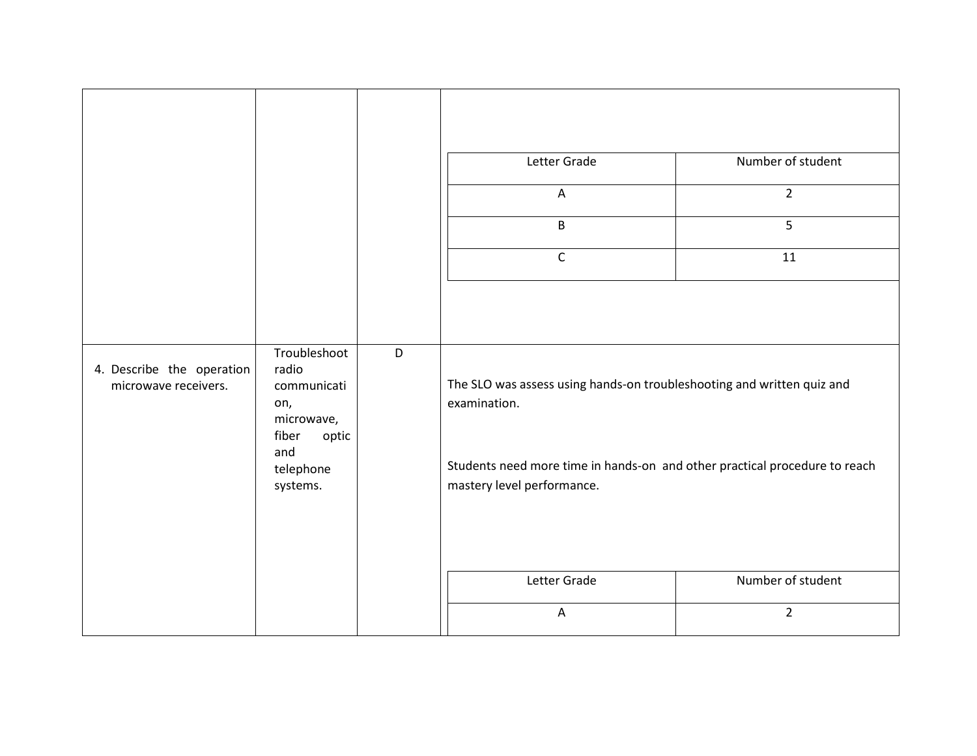|                                                   |                                                                                                             |   | Letter Grade<br>$\overline{A}$<br>B<br>$\mathsf C$                                                                                                                                                                 | Number of student<br>$\overline{2}$<br>5<br>11 |
|---------------------------------------------------|-------------------------------------------------------------------------------------------------------------|---|--------------------------------------------------------------------------------------------------------------------------------------------------------------------------------------------------------------------|------------------------------------------------|
| 4. Describe the operation<br>microwave receivers. | Troubleshoot<br>radio<br>communicati<br>on,<br>microwave,<br>fiber<br>optic<br>and<br>telephone<br>systems. | D | The SLO was assess using hands-on troubleshooting and written quiz and<br>examination.<br>Students need more time in hands-on and other practical procedure to reach<br>mastery level performance.<br>Letter Grade | Number of student                              |
|                                                   |                                                                                                             |   | $\overline{A}$                                                                                                                                                                                                     | $\overline{2}$                                 |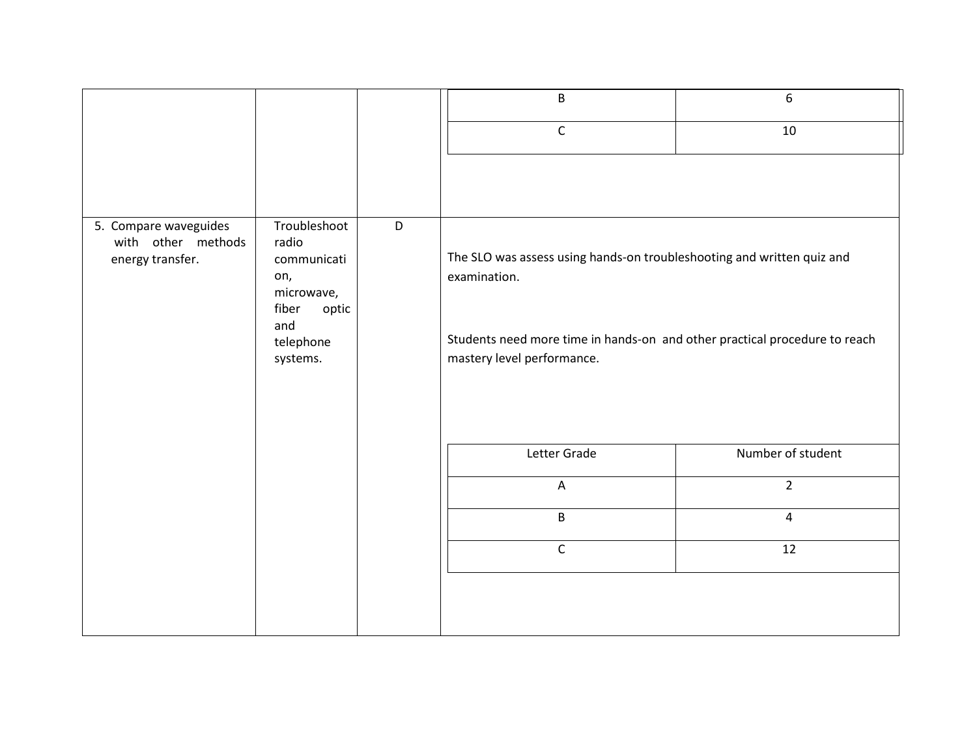|                                                                 |                                                                                                                  | B                                                                                                                                                                                                  | 6                 |
|-----------------------------------------------------------------|------------------------------------------------------------------------------------------------------------------|----------------------------------------------------------------------------------------------------------------------------------------------------------------------------------------------------|-------------------|
|                                                                 |                                                                                                                  | $\mathsf{C}$                                                                                                                                                                                       | 10                |
|                                                                 |                                                                                                                  |                                                                                                                                                                                                    |                   |
| 5. Compare waveguides<br>with other methods<br>energy transfer. | Troubleshoot<br>D<br>radio<br>communicati<br>on,<br>microwave,<br>fiber<br>optic<br>and<br>telephone<br>systems. | The SLO was assess using hands-on troubleshooting and written quiz and<br>examination.<br>Students need more time in hands-on and other practical procedure to reach<br>mastery level performance. |                   |
|                                                                 |                                                                                                                  | Letter Grade                                                                                                                                                                                       | Number of student |
|                                                                 |                                                                                                                  | $\boldsymbol{\mathsf{A}}$                                                                                                                                                                          | $\overline{2}$    |
|                                                                 |                                                                                                                  | $\mathsf B$                                                                                                                                                                                        | $\overline{4}$    |
|                                                                 |                                                                                                                  | $\mathsf C$                                                                                                                                                                                        | 12                |
|                                                                 |                                                                                                                  |                                                                                                                                                                                                    |                   |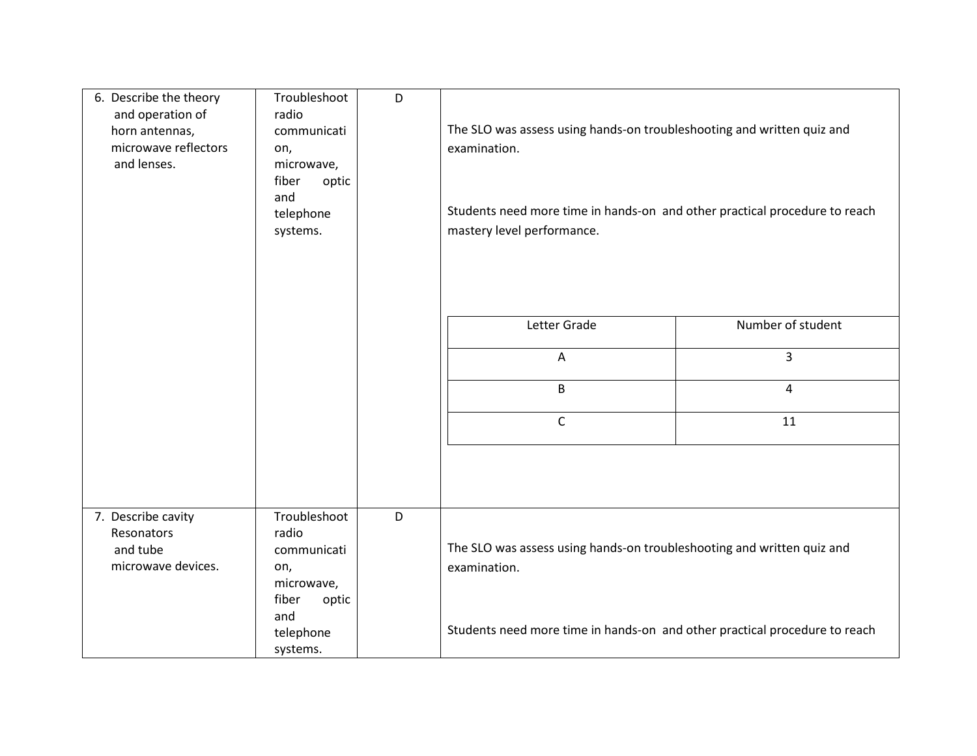| 6. Describe the theory<br>and operation of<br>horn antennas,<br>microwave reflectors<br>and lenses. | Troubleshoot<br>radio<br>communicati<br>on,<br>microwave,<br>fiber<br>optic<br>and<br>telephone<br>systems. | D | The SLO was assess using hands-on troubleshooting and written quiz and<br>examination.<br>Students need more time in hands-on and other practical procedure to reach<br>mastery level performance. |                   |
|-----------------------------------------------------------------------------------------------------|-------------------------------------------------------------------------------------------------------------|---|----------------------------------------------------------------------------------------------------------------------------------------------------------------------------------------------------|-------------------|
|                                                                                                     |                                                                                                             |   | Letter Grade                                                                                                                                                                                       | Number of student |
|                                                                                                     |                                                                                                             |   | A                                                                                                                                                                                                  | 3                 |
|                                                                                                     |                                                                                                             |   | B                                                                                                                                                                                                  | $\overline{4}$    |
|                                                                                                     |                                                                                                             |   | $\mathsf C$                                                                                                                                                                                        | 11                |
|                                                                                                     |                                                                                                             |   |                                                                                                                                                                                                    |                   |
| 7. Describe cavity<br>Resonators<br>and tube<br>microwave devices.                                  | Troubleshoot<br>radio<br>communicati<br>on,<br>microwave,<br>fiber<br>optic                                 | D | The SLO was assess using hands-on troubleshooting and written quiz and<br>examination.                                                                                                             |                   |
|                                                                                                     | and<br>telephone<br>systems.                                                                                |   | Students need more time in hands-on and other practical procedure to reach                                                                                                                         |                   |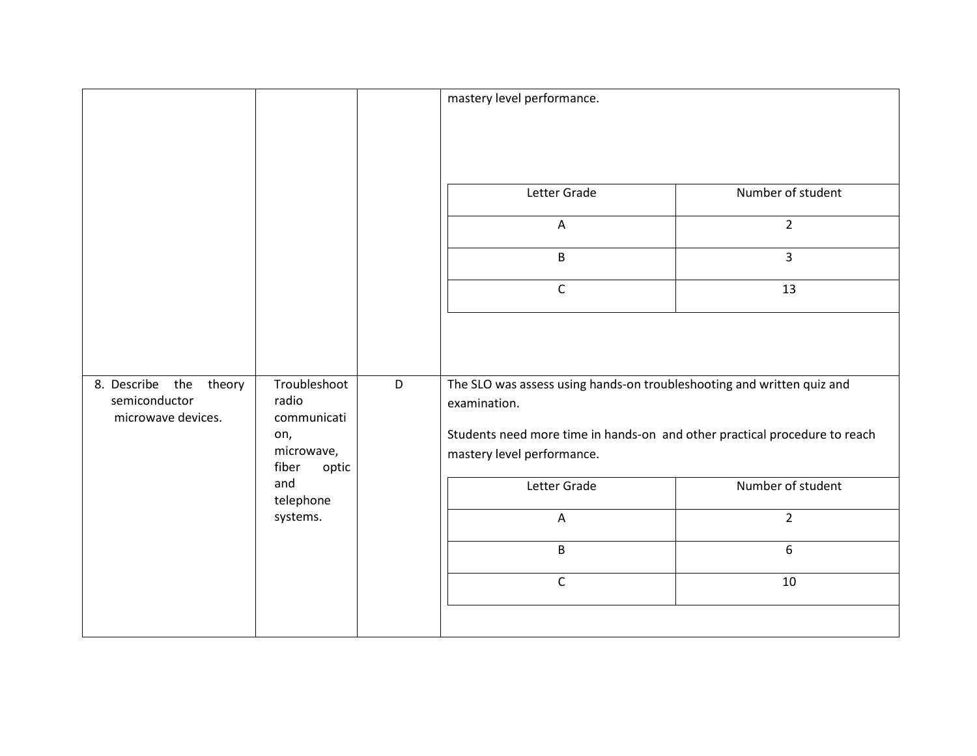|                                                                                                               |                  |   | mastery level performance.                                                                               |                   |
|---------------------------------------------------------------------------------------------------------------|------------------|---|----------------------------------------------------------------------------------------------------------|-------------------|
|                                                                                                               |                  |   |                                                                                                          |                   |
|                                                                                                               |                  |   |                                                                                                          |                   |
|                                                                                                               |                  |   | Letter Grade                                                                                             | Number of student |
|                                                                                                               |                  |   | $\boldsymbol{\mathsf{A}}$                                                                                | $\overline{2}$    |
|                                                                                                               |                  |   | B                                                                                                        | 3                 |
|                                                                                                               |                  |   | $\mathsf C$                                                                                              | 13                |
|                                                                                                               |                  |   |                                                                                                          |                   |
| 8. Describe the<br>theory<br>semiconductor<br>radio<br>communicati<br>microwave devices.<br>on,<br>microwave, | Troubleshoot     | D | The SLO was assess using hands-on troubleshooting and written quiz and<br>examination.                   |                   |
|                                                                                                               | fiber<br>optic   |   | Students need more time in hands-on and other practical procedure to reach<br>mastery level performance. |                   |
|                                                                                                               | and<br>telephone |   | Letter Grade                                                                                             | Number of student |
|                                                                                                               | systems.         |   | $\overline{A}$                                                                                           | $\overline{2}$    |
|                                                                                                               |                  |   | B                                                                                                        | 6                 |
|                                                                                                               |                  |   | $\mathsf C$                                                                                              | 10                |
|                                                                                                               |                  |   |                                                                                                          |                   |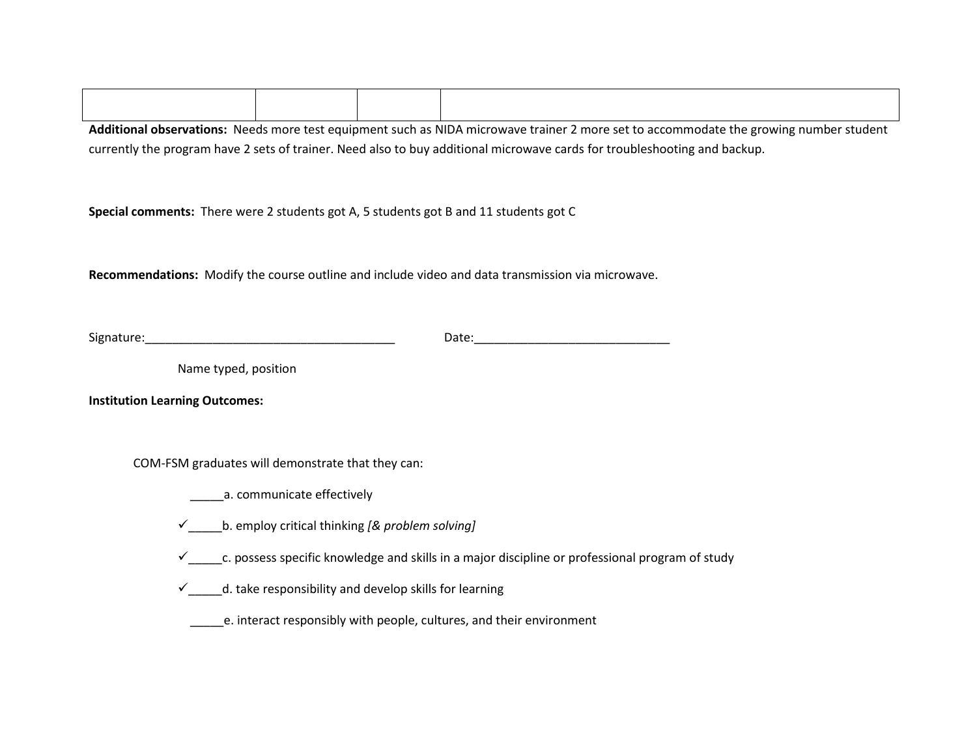**Additional observations:** Needs more test equipment such as NIDA microwave trainer 2 more set to accommodate the growing number student currently the program have 2 sets of trainer. Need also to buy additional microwave cards for troubleshooting and backup.

**Special comments:** There were 2 students got A, 5 students got B and 11 students got C

**Recommendations:** Modify the course outline and include video and data transmission via microwave.

| $\sim$<br>שו כ |  |
|----------------|--|
| .              |  |

Name typed, position

**Institution Learning Outcomes:**

COM-FSM graduates will demonstrate that they can:

\_\_\_\_\_a. communicate effectively

- \_\_\_\_\_b. employ critical thinking *[& problem solving]*
- $\checkmark$  c. possess specific knowledge and skills in a major discipline or professional program of study
- $\checkmark$  \_\_\_d. take responsibility and develop skills for learning
	- \_\_\_\_\_e. interact responsibly with people, cultures, and their environment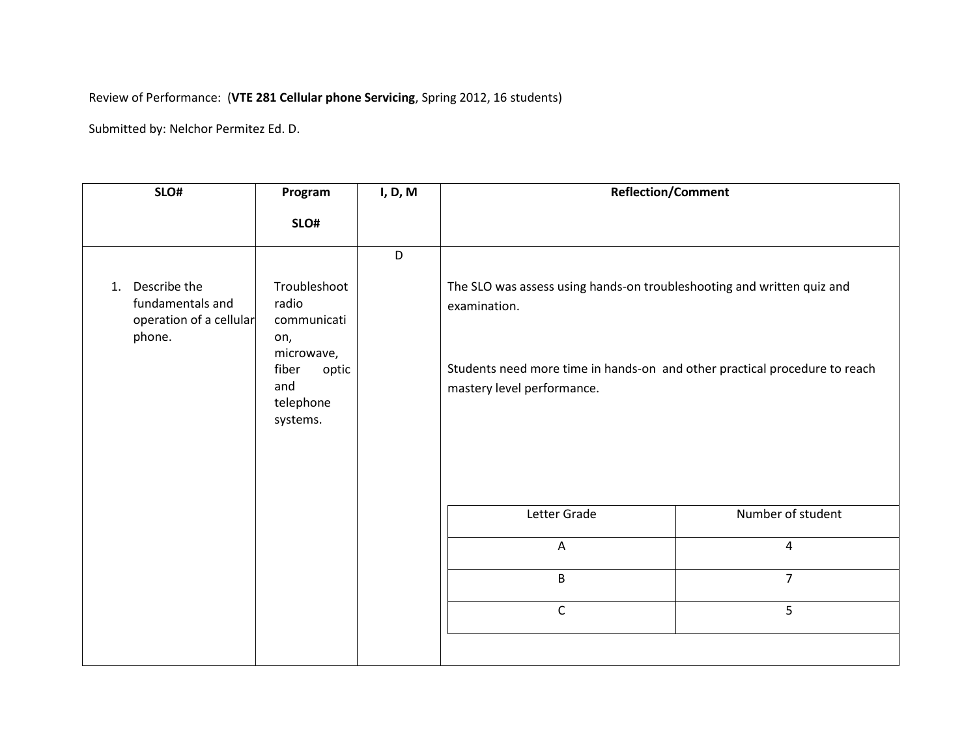## Review of Performance: (**VTE 281 Cellular phone Servicing**, Spring 2012, 16 students)

| SLO#                                                                        | Program                                                                                                     | I, D, M | <b>Reflection/Comment</b>                                                                                                                                                                          |                   |
|-----------------------------------------------------------------------------|-------------------------------------------------------------------------------------------------------------|---------|----------------------------------------------------------------------------------------------------------------------------------------------------------------------------------------------------|-------------------|
|                                                                             | SLO#                                                                                                        |         |                                                                                                                                                                                                    |                   |
|                                                                             |                                                                                                             | D       |                                                                                                                                                                                                    |                   |
| Describe the<br>1.<br>fundamentals and<br>operation of a cellular<br>phone. | Troubleshoot<br>radio<br>communicati<br>on,<br>microwave,<br>fiber<br>optic<br>and<br>telephone<br>systems. |         | The SLO was assess using hands-on troubleshooting and written quiz and<br>examination.<br>Students need more time in hands-on and other practical procedure to reach<br>mastery level performance. |                   |
|                                                                             |                                                                                                             |         | Letter Grade                                                                                                                                                                                       | Number of student |
|                                                                             |                                                                                                             |         | $\boldsymbol{\mathsf{A}}$                                                                                                                                                                          | $\sqrt{4}$        |
|                                                                             |                                                                                                             |         | B                                                                                                                                                                                                  | $\overline{7}$    |
|                                                                             |                                                                                                             |         | $\mathsf C$                                                                                                                                                                                        | 5                 |
|                                                                             |                                                                                                             |         |                                                                                                                                                                                                    |                   |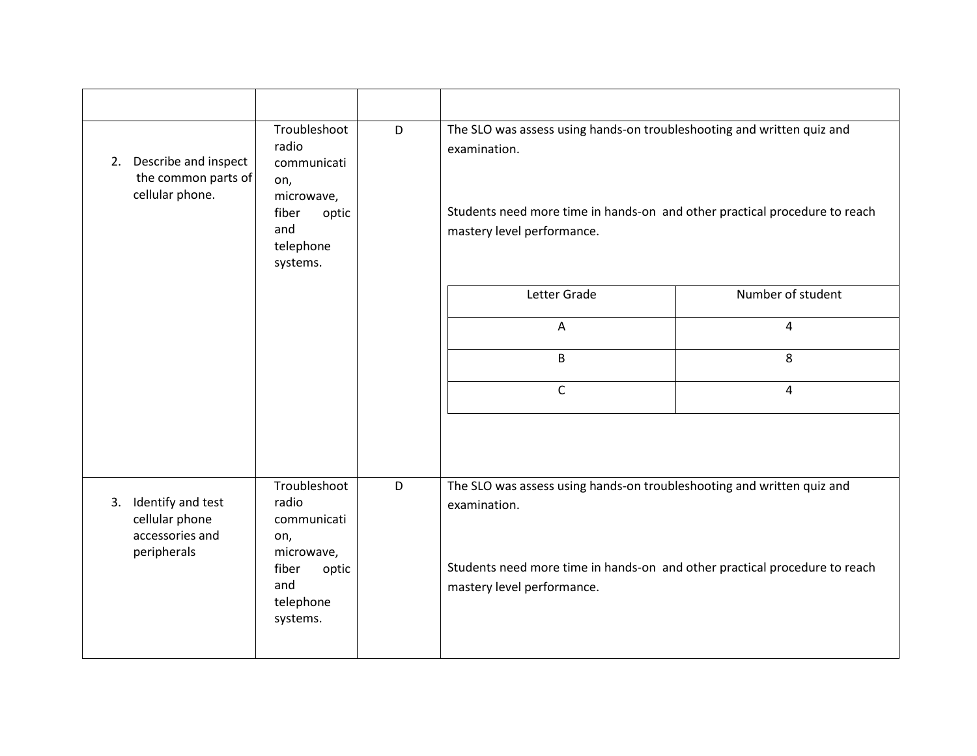| 2. Describe and inspect<br>the common parts of<br>cellular phone.           | Troubleshoot<br>radio<br>communicati<br>on,<br>microwave,<br>fiber<br>optic<br>and<br>telephone<br>systems. | D | The SLO was assess using hands-on troubleshooting and written quiz and<br>examination.<br>Students need more time in hands-on and other practical procedure to reach<br>mastery level performance. |                   |
|-----------------------------------------------------------------------------|-------------------------------------------------------------------------------------------------------------|---|----------------------------------------------------------------------------------------------------------------------------------------------------------------------------------------------------|-------------------|
|                                                                             |                                                                                                             |   | Letter Grade                                                                                                                                                                                       | Number of student |
|                                                                             |                                                                                                             |   | $\mathsf{A}$                                                                                                                                                                                       | 4                 |
|                                                                             |                                                                                                             |   | B                                                                                                                                                                                                  | 8                 |
|                                                                             |                                                                                                             |   | $\mathsf{C}$                                                                                                                                                                                       | 4                 |
|                                                                             |                                                                                                             |   |                                                                                                                                                                                                    |                   |
| Identify and test<br>3.<br>cellular phone<br>accessories and<br>peripherals | Troubleshoot<br>radio<br>communicati<br>on,<br>microwave,                                                   | D | The SLO was assess using hands-on troubleshooting and written quiz and<br>examination.                                                                                                             |                   |
|                                                                             | fiber<br>optic<br>and<br>telephone<br>systems.                                                              |   | Students need more time in hands-on and other practical procedure to reach<br>mastery level performance.                                                                                           |                   |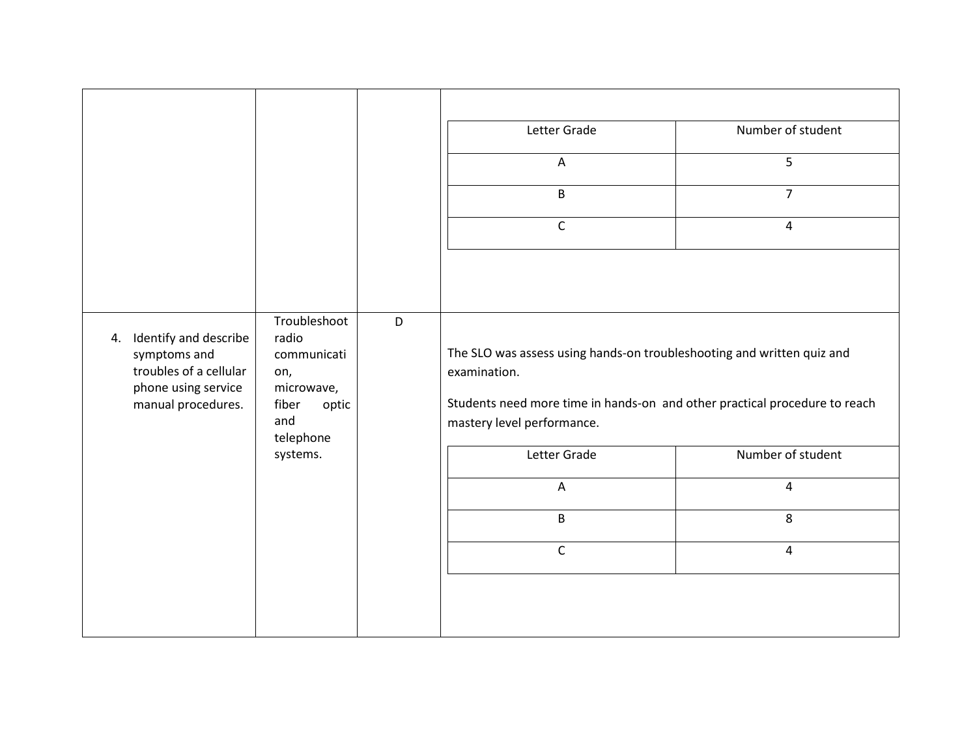|                                                                                                                    | Troubleshoot                                                                                | D | Letter Grade<br>$\overline{A}$<br>B<br>$\mathsf C$                                                                                                                                                 | Number of student<br>5<br>$\overline{7}$<br>$\overline{4}$ |
|--------------------------------------------------------------------------------------------------------------------|---------------------------------------------------------------------------------------------|---|----------------------------------------------------------------------------------------------------------------------------------------------------------------------------------------------------|------------------------------------------------------------|
| Identify and describe<br>4.<br>symptoms and<br>troubles of a cellular<br>phone using service<br>manual procedures. | radio<br>communicati<br>on,<br>microwave,<br>fiber<br>optic<br>and<br>telephone<br>systems. |   | The SLO was assess using hands-on troubleshooting and written quiz and<br>examination.<br>Students need more time in hands-on and other practical procedure to reach<br>mastery level performance. |                                                            |
|                                                                                                                    |                                                                                             |   | Letter Grade                                                                                                                                                                                       | Number of student                                          |
|                                                                                                                    |                                                                                             |   | $\overline{A}$                                                                                                                                                                                     | $\overline{4}$                                             |
|                                                                                                                    |                                                                                             | B | 8                                                                                                                                                                                                  |                                                            |
|                                                                                                                    |                                                                                             |   | $\mathsf C$                                                                                                                                                                                        | $\overline{a}$                                             |
|                                                                                                                    |                                                                                             |   |                                                                                                                                                                                                    |                                                            |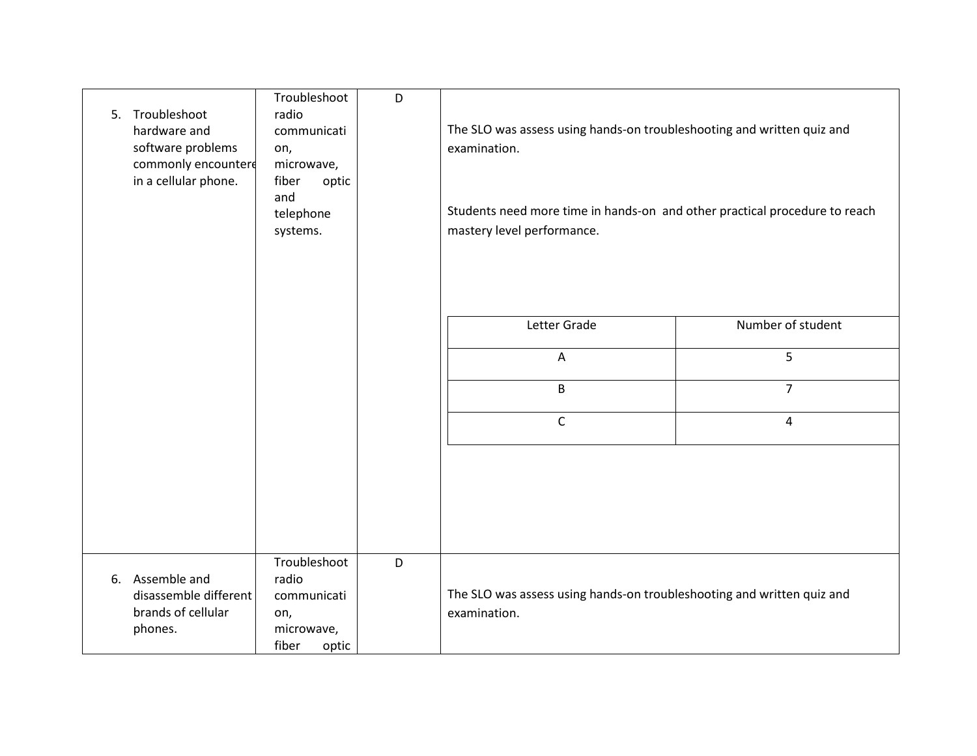| 5. Troubleshoot<br>hardware and<br>software problems<br>commonly encountere<br>in a cellular phone. | Troubleshoot<br>radio<br>communicati<br>on,<br>microwave,<br>fiber<br>optic<br>and<br>telephone<br>systems. | D | The SLO was assess using hands-on troubleshooting and written quiz and<br>examination.<br>Students need more time in hands-on and other practical procedure to reach<br>mastery level performance. |                   |
|-----------------------------------------------------------------------------------------------------|-------------------------------------------------------------------------------------------------------------|---|----------------------------------------------------------------------------------------------------------------------------------------------------------------------------------------------------|-------------------|
|                                                                                                     |                                                                                                             |   | Letter Grade                                                                                                                                                                                       | Number of student |
|                                                                                                     |                                                                                                             |   | $\mathsf{A}$                                                                                                                                                                                       | 5                 |
|                                                                                                     |                                                                                                             |   | B                                                                                                                                                                                                  | $\overline{7}$    |
|                                                                                                     |                                                                                                             |   | $\mathsf C$                                                                                                                                                                                        | $\overline{4}$    |
|                                                                                                     |                                                                                                             |   |                                                                                                                                                                                                    |                   |
| 6. Assemble and<br>disassemble different<br>brands of cellular<br>phones.                           | Troubleshoot<br>radio<br>communicati<br>on,<br>microwave,<br>fiber<br>optic                                 | D | The SLO was assess using hands-on troubleshooting and written quiz and<br>examination.                                                                                                             |                   |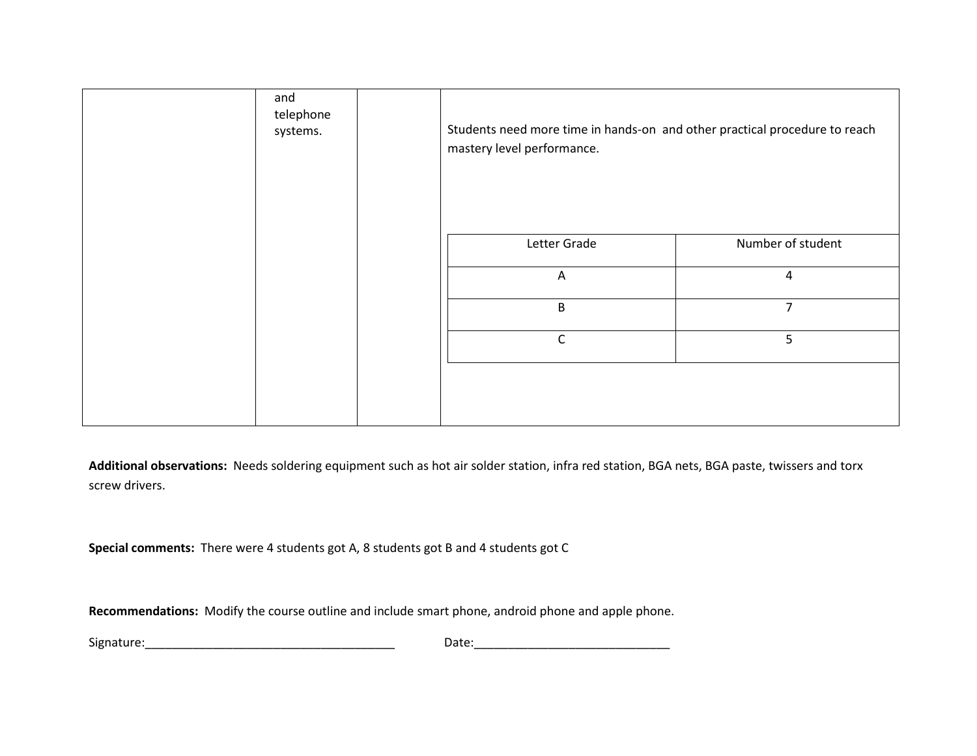| and<br>telephone<br>systems. | Students need more time in hands-on and other practical procedure to reach<br>mastery level performance. |                   |
|------------------------------|----------------------------------------------------------------------------------------------------------|-------------------|
|                              | Letter Grade                                                                                             | Number of student |
|                              | A                                                                                                        | $\overline{4}$    |
|                              | $\mathsf B$                                                                                              | $\overline{7}$    |
|                              | $\mathsf{C}$                                                                                             | 5                 |
|                              |                                                                                                          |                   |

**Additional observations:** Needs soldering equipment such as hot air solder station, infra red station, BGA nets, BGA paste, twissers and torx screw drivers.

**Special comments:** There were 4 students got A, 8 students got B and 4 students got C

**Recommendations:** Modify the course outline and include smart phone, android phone and apple phone.

Signature:\_\_\_\_\_\_\_\_\_\_\_\_\_\_\_\_\_\_\_\_\_\_\_\_\_\_\_\_\_\_\_\_\_\_\_\_\_ Date:\_\_\_\_\_\_\_\_\_\_\_\_\_\_\_\_\_\_\_\_\_\_\_\_\_\_\_\_\_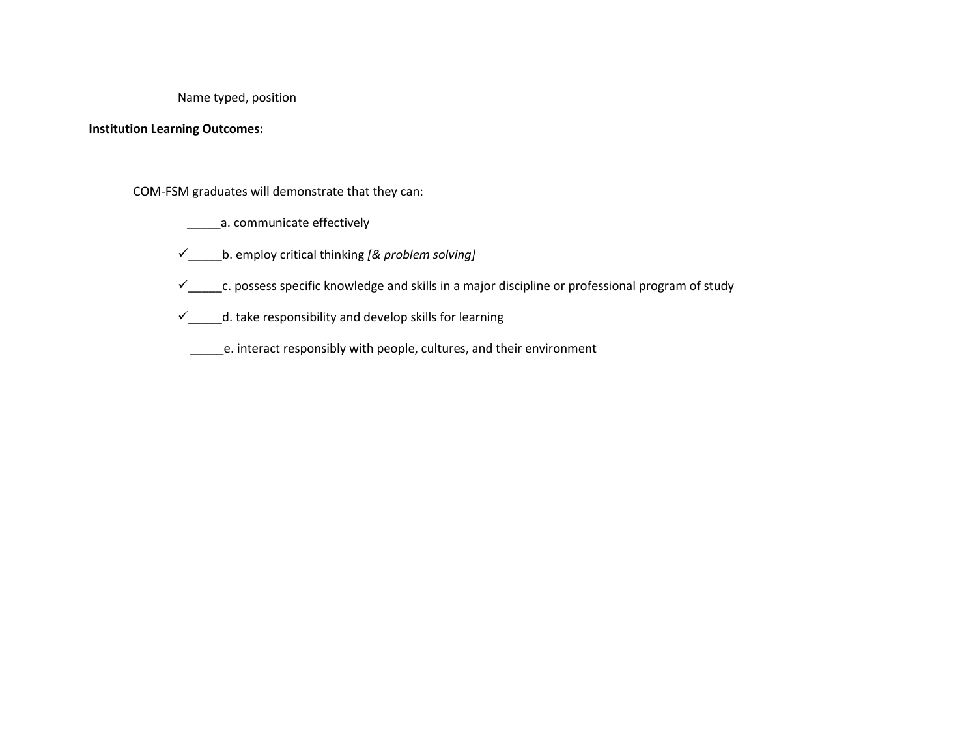Name typed, position

#### **Institution Learning Outcomes:**

COM-FSM graduates will demonstrate that they can:

\_\_\_\_\_\_\_\_\_a. communicate effectively

\_\_\_\_\_b. employ critical thinking *[& problem solving]*

 $\checkmark$ <sub>\_\_\_\_\_\_</sub>c. possess specific knowledge and skills in a major discipline or professional program of study

 $\checkmark$  \_\_\_\_\_d. take responsibility and develop skills for learning

\_\_\_\_\_e. interact responsibly with people, cultures, and their environment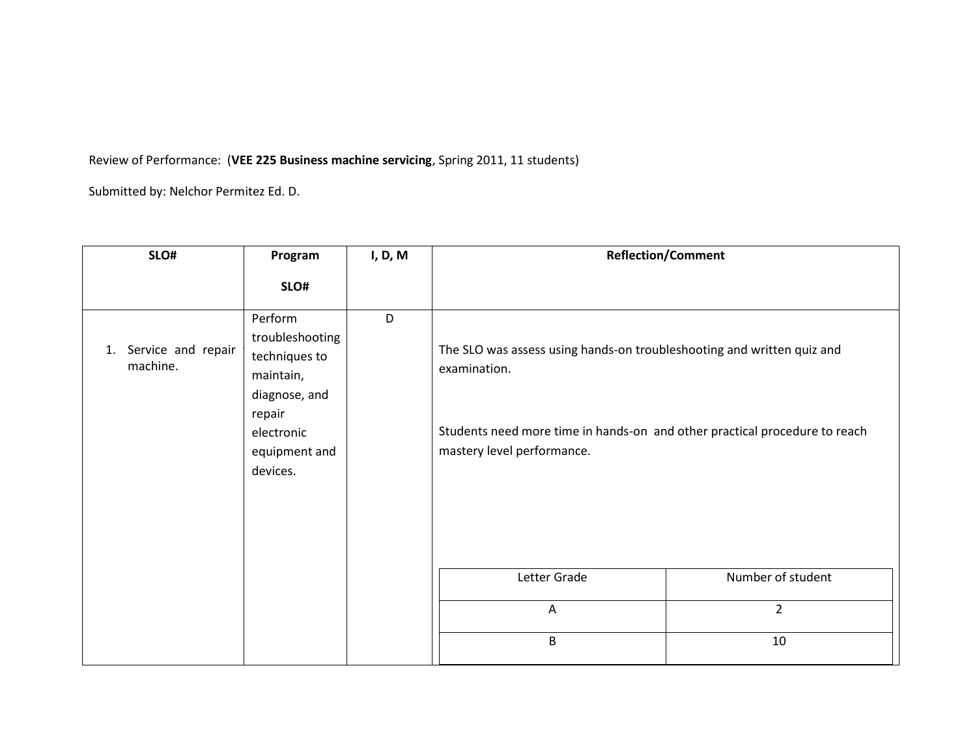## Review of Performance: (**VEE 225 Business machine servicing**, Spring 2011, 11 students)

| SLO#                              | Program                                                                                                                        | I, D, M | <b>Reflection/Comment</b>                                                                                                                                                                          |                   |
|-----------------------------------|--------------------------------------------------------------------------------------------------------------------------------|---------|----------------------------------------------------------------------------------------------------------------------------------------------------------------------------------------------------|-------------------|
|                                   | SLO#                                                                                                                           |         |                                                                                                                                                                                                    |                   |
| 1. Service and repair<br>machine. | Perform<br>troubleshooting<br>techniques to<br>maintain,<br>diagnose, and<br>repair<br>electronic<br>equipment and<br>devices. | D       | The SLO was assess using hands-on troubleshooting and written quiz and<br>examination.<br>Students need more time in hands-on and other practical procedure to reach<br>mastery level performance. |                   |
|                                   |                                                                                                                                |         | Letter Grade                                                                                                                                                                                       | Number of student |
|                                   |                                                                                                                                |         | $\overline{A}$                                                                                                                                                                                     | $\overline{2}$    |
|                                   |                                                                                                                                |         | B                                                                                                                                                                                                  | 10                |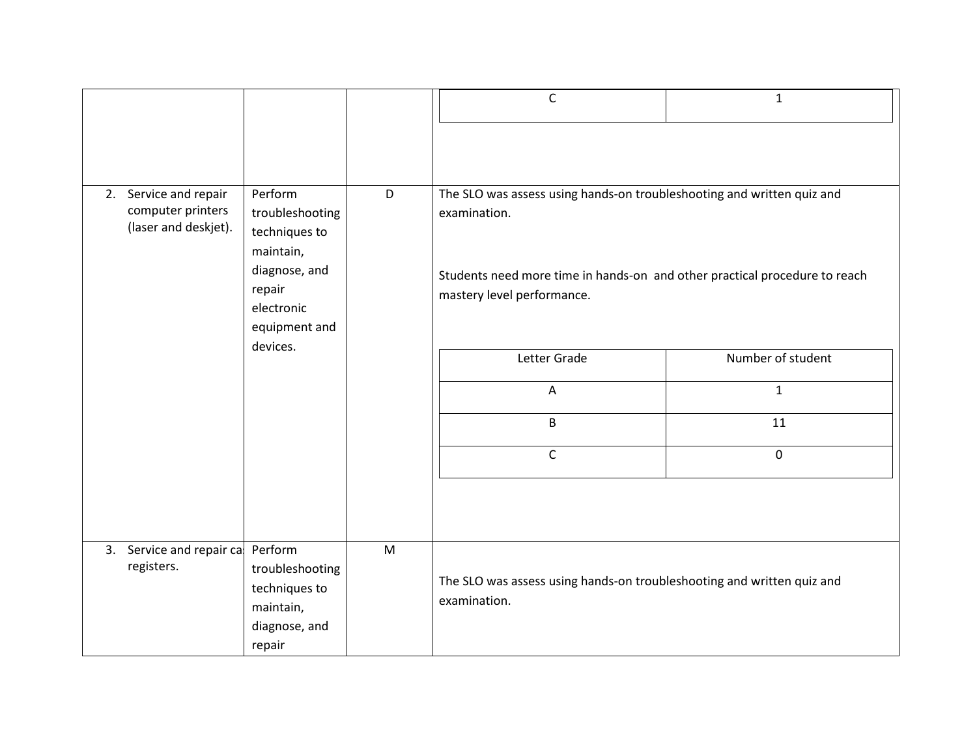|                                                                    |                                                                                                                    |   | $\mathsf{C}$                                                                                                                                                                                       | $\mathbf{1}$      |
|--------------------------------------------------------------------|--------------------------------------------------------------------------------------------------------------------|---|----------------------------------------------------------------------------------------------------------------------------------------------------------------------------------------------------|-------------------|
|                                                                    |                                                                                                                    |   |                                                                                                                                                                                                    |                   |
| 2. Service and repair<br>computer printers<br>(laser and deskjet). | Perform<br>troubleshooting<br>techniques to<br>maintain,<br>diagnose, and<br>repair<br>electronic<br>equipment and | D | The SLO was assess using hands-on troubleshooting and written quiz and<br>examination.<br>Students need more time in hands-on and other practical procedure to reach<br>mastery level performance. |                   |
|                                                                    | devices.                                                                                                           |   | Letter Grade                                                                                                                                                                                       | Number of student |
|                                                                    |                                                                                                                    |   | A                                                                                                                                                                                                  | $\mathbf{1}$      |
|                                                                    |                                                                                                                    |   | B                                                                                                                                                                                                  | 11                |
|                                                                    |                                                                                                                    |   | $\mathsf{C}$                                                                                                                                                                                       | $\mathbf 0$       |
|                                                                    |                                                                                                                    |   |                                                                                                                                                                                                    |                   |
| 3. Service and repair ca<br>registers.                             | Perform<br>troubleshooting<br>techniques to<br>maintain,<br>diagnose, and<br>repair                                | M | The SLO was assess using hands-on troubleshooting and written quiz and<br>examination.                                                                                                             |                   |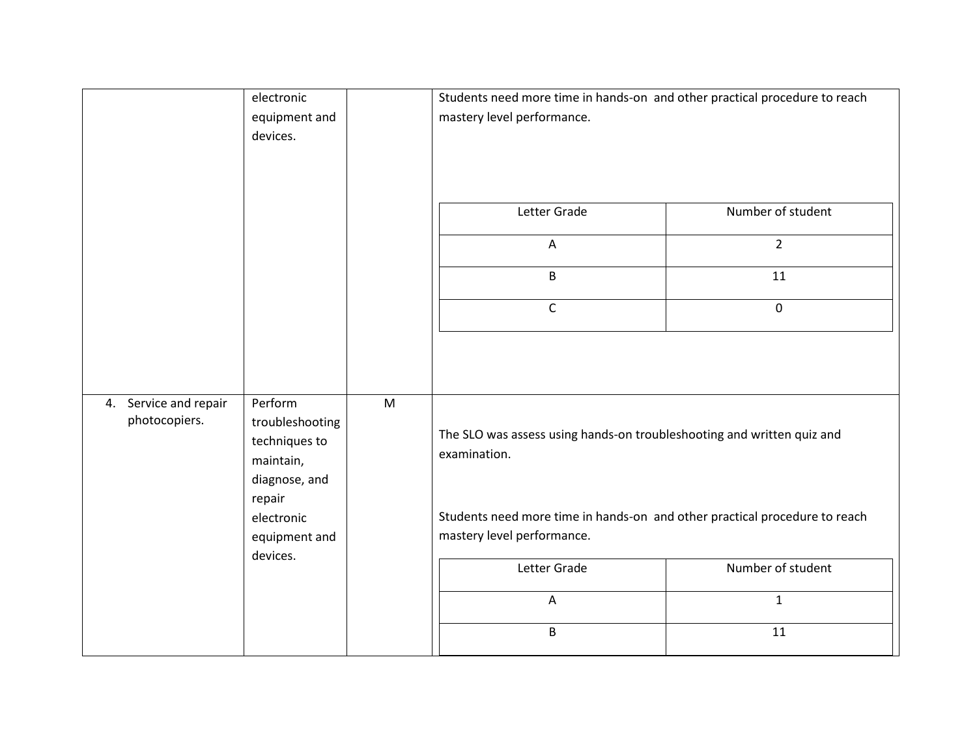|                                        | electronic<br>equipment and<br>devices.                                             |   | Students need more time in hands-on and other practical procedure to reach<br>mastery level performance. |                   |
|----------------------------------------|-------------------------------------------------------------------------------------|---|----------------------------------------------------------------------------------------------------------|-------------------|
|                                        |                                                                                     |   | Letter Grade                                                                                             | Number of student |
|                                        |                                                                                     |   | $\overline{A}$                                                                                           | $\overline{2}$    |
|                                        |                                                                                     |   | B                                                                                                        | 11                |
|                                        |                                                                                     |   | $\mathsf{C}$                                                                                             | $\mathbf 0$       |
|                                        |                                                                                     |   |                                                                                                          |                   |
| 4. Service and repair<br>photocopiers. | Perform<br>troubleshooting<br>techniques to<br>maintain,<br>diagnose, and<br>repair | M | The SLO was assess using hands-on troubleshooting and written quiz and<br>examination.                   |                   |
|                                        | electronic<br>equipment and                                                         |   | Students need more time in hands-on and other practical procedure to reach<br>mastery level performance. |                   |
|                                        | devices.                                                                            |   | Letter Grade                                                                                             | Number of student |
|                                        |                                                                                     |   | $\boldsymbol{\mathsf{A}}$                                                                                | $\mathbf{1}$      |
|                                        |                                                                                     |   | B                                                                                                        | $11\,$            |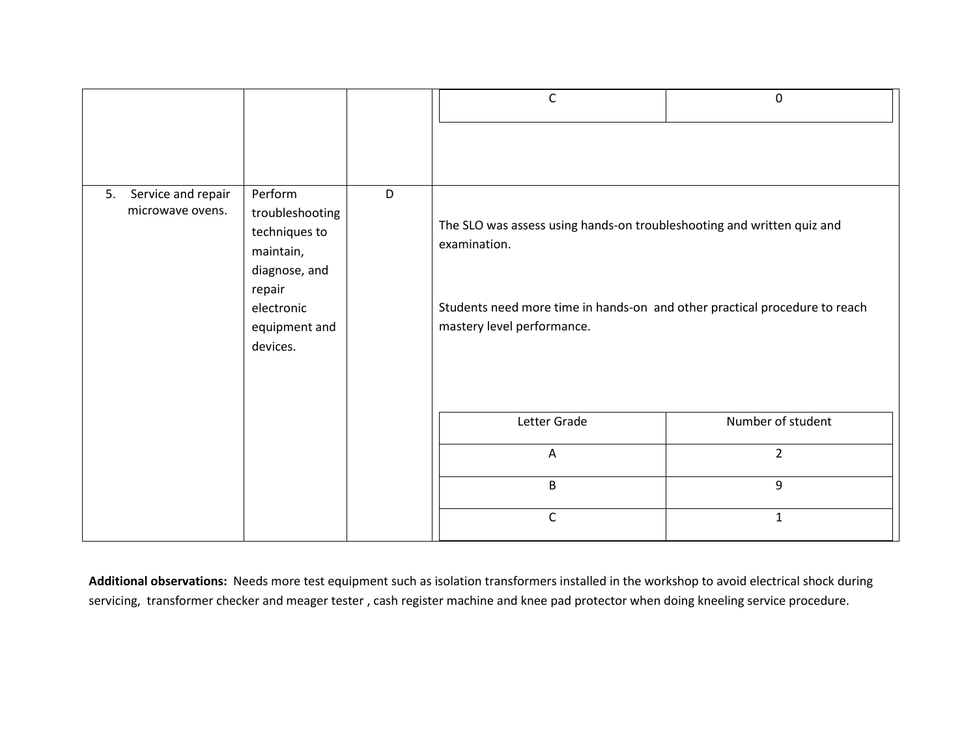|                                              |                                                                                                                                     |  | C                                                                                                                                                                                                  | $\mathbf 0$       |
|----------------------------------------------|-------------------------------------------------------------------------------------------------------------------------------------|--|----------------------------------------------------------------------------------------------------------------------------------------------------------------------------------------------------|-------------------|
|                                              |                                                                                                                                     |  |                                                                                                                                                                                                    |                   |
| Service and repair<br>5.<br>microwave ovens. | Perform<br>D<br>troubleshooting<br>techniques to<br>maintain,<br>diagnose, and<br>repair<br>electronic<br>equipment and<br>devices. |  | The SLO was assess using hands-on troubleshooting and written quiz and<br>examination.<br>Students need more time in hands-on and other practical procedure to reach<br>mastery level performance. |                   |
|                                              |                                                                                                                                     |  | Letter Grade                                                                                                                                                                                       | Number of student |
|                                              |                                                                                                                                     |  | A                                                                                                                                                                                                  | $\overline{2}$    |
|                                              |                                                                                                                                     |  | B                                                                                                                                                                                                  | 9                 |
|                                              |                                                                                                                                     |  | C                                                                                                                                                                                                  | $\mathbf{1}$      |

**Additional observations:** Needs more test equipment such as isolation transformers installed in the workshop to avoid electrical shock during servicing, transformer checker and meager tester , cash register machine and knee pad protector when doing kneeling service procedure.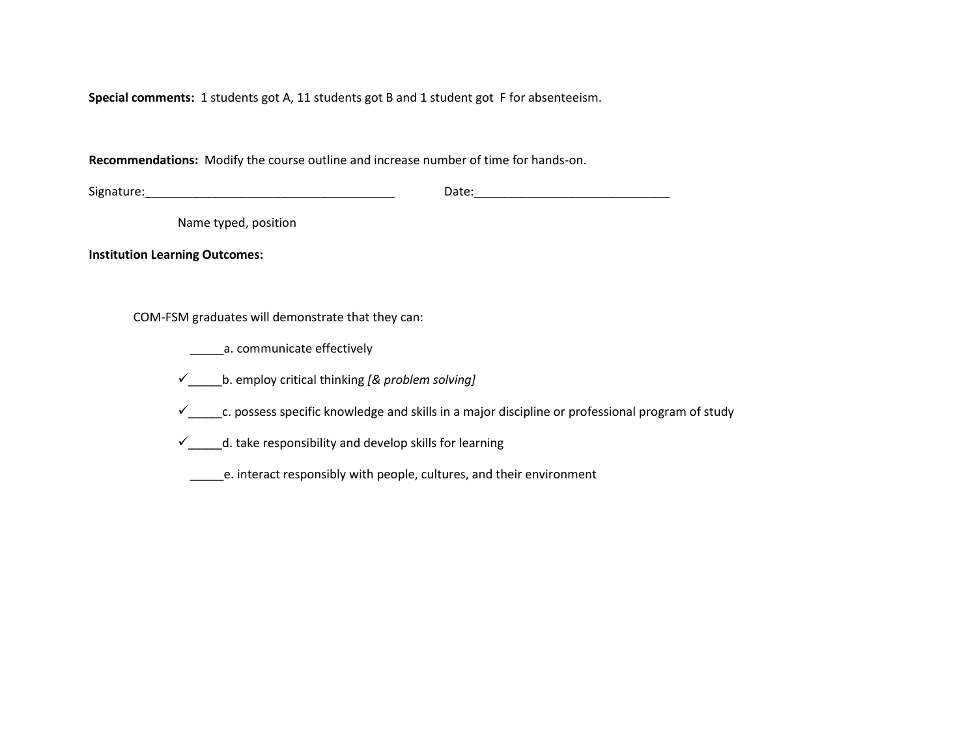**Special comments:** 1 students got A, 11 students got B and 1 student got F for absenteeism.

**Recommendations:** Modify the course outline and increase number of time for hands-on.

Signature:\_\_\_\_\_\_\_\_\_\_\_\_\_\_\_\_\_\_\_\_\_\_\_\_\_\_\_\_\_\_\_\_\_\_\_\_\_ Date:\_\_\_\_\_\_\_\_\_\_\_\_\_\_\_\_\_\_\_\_\_\_\_\_\_\_\_\_\_

Name typed, position

**Institution Learning Outcomes:**

COM-FSM graduates will demonstrate that they can:

a. communicate effectively

\_\_\_\_\_b. employ critical thinking *[& problem solving]*

 $\checkmark$  c. possess specific knowledge and skills in a major discipline or professional program of study

 $\checkmark$  \_\_\_\_\_d. take responsibility and develop skills for learning

\_\_\_\_\_e. interact responsibly with people, cultures, and their environment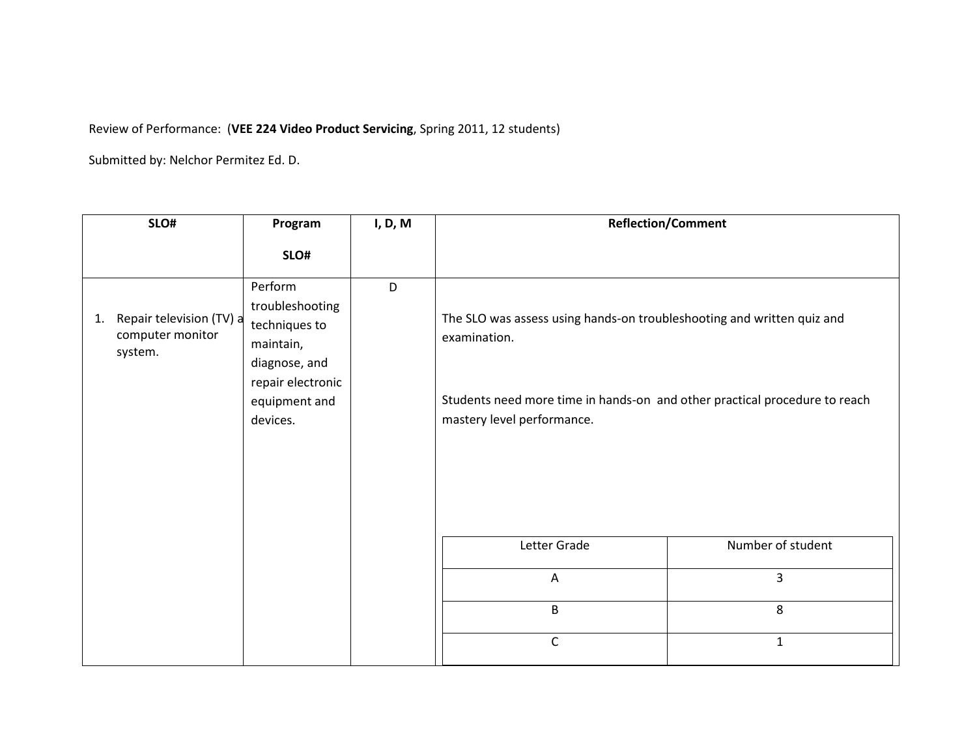## Review of Performance: (**VEE 224 Video Product Servicing**, Spring 2011, 12 students)

| SLO#                                                          | Program                                                                                                                     | I, D, M | <b>Reflection/Comment</b>                                                                                                                                                                          |                   |
|---------------------------------------------------------------|-----------------------------------------------------------------------------------------------------------------------------|---------|----------------------------------------------------------------------------------------------------------------------------------------------------------------------------------------------------|-------------------|
|                                                               | SLO#                                                                                                                        |         |                                                                                                                                                                                                    |                   |
| Repair television (TV) a<br>1.<br>computer monitor<br>system. | Perform<br>troubleshooting<br>techniques to<br>maintain,<br>diagnose, and<br>repair electronic<br>equipment and<br>devices. | D       | The SLO was assess using hands-on troubleshooting and written quiz and<br>examination.<br>Students need more time in hands-on and other practical procedure to reach<br>mastery level performance. |                   |
|                                                               |                                                                                                                             |         | Letter Grade                                                                                                                                                                                       | Number of student |
|                                                               |                                                                                                                             |         | A                                                                                                                                                                                                  | 3                 |
|                                                               |                                                                                                                             |         | B                                                                                                                                                                                                  | 8                 |
|                                                               |                                                                                                                             |         | $\mathsf{C}$                                                                                                                                                                                       | $\mathbf{1}$      |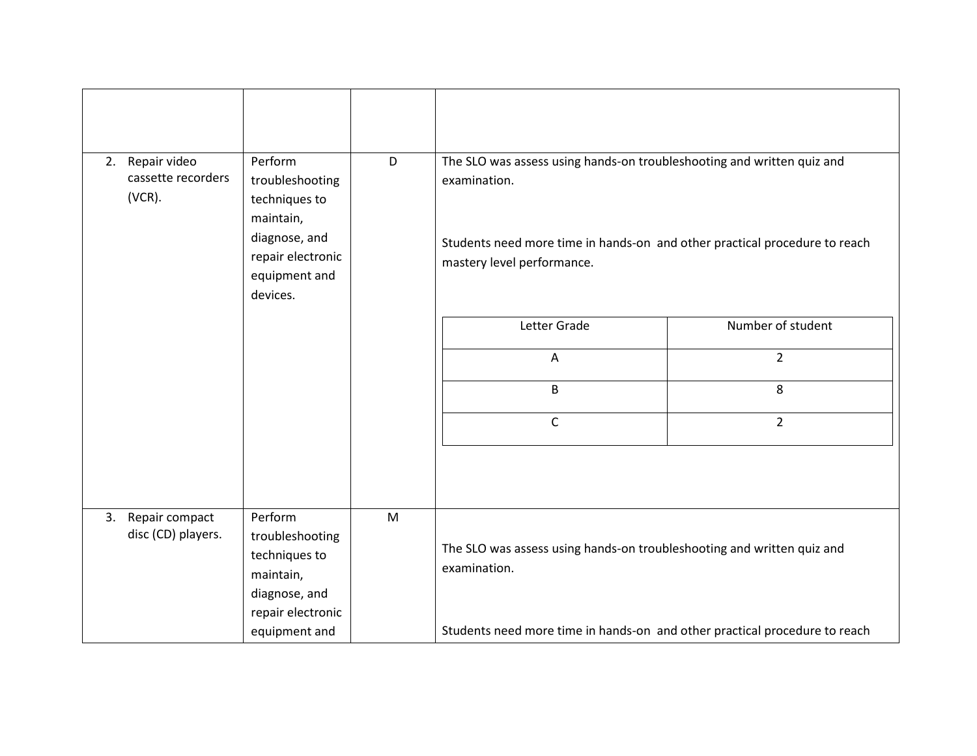| 2. Repair video<br>cassette recorders<br>$(VCR)$ . | Perform<br>troubleshooting<br>techniques to<br>maintain,<br>diagnose, and<br>repair electronic<br>equipment and<br>devices. | D | The SLO was assess using hands-on troubleshooting and written quiz and<br>examination.<br>Students need more time in hands-on and other practical procedure to reach<br>mastery level performance. |                   |
|----------------------------------------------------|-----------------------------------------------------------------------------------------------------------------------------|---|----------------------------------------------------------------------------------------------------------------------------------------------------------------------------------------------------|-------------------|
|                                                    |                                                                                                                             |   | Letter Grade                                                                                                                                                                                       | Number of student |
|                                                    |                                                                                                                             |   | $\overline{A}$                                                                                                                                                                                     | $\overline{2}$    |
|                                                    |                                                                                                                             |   | B                                                                                                                                                                                                  | 8                 |
|                                                    |                                                                                                                             |   | C                                                                                                                                                                                                  | $\overline{2}$    |
|                                                    |                                                                                                                             |   |                                                                                                                                                                                                    |                   |
| 3. Repair compact<br>disc (CD) players.            | Perform<br>troubleshooting<br>techniques to<br>maintain,<br>diagnose, and<br>repair electronic                              | M | The SLO was assess using hands-on troubleshooting and written quiz and<br>examination.                                                                                                             |                   |
|                                                    | equipment and                                                                                                               |   | Students need more time in hands-on and other practical procedure to reach                                                                                                                         |                   |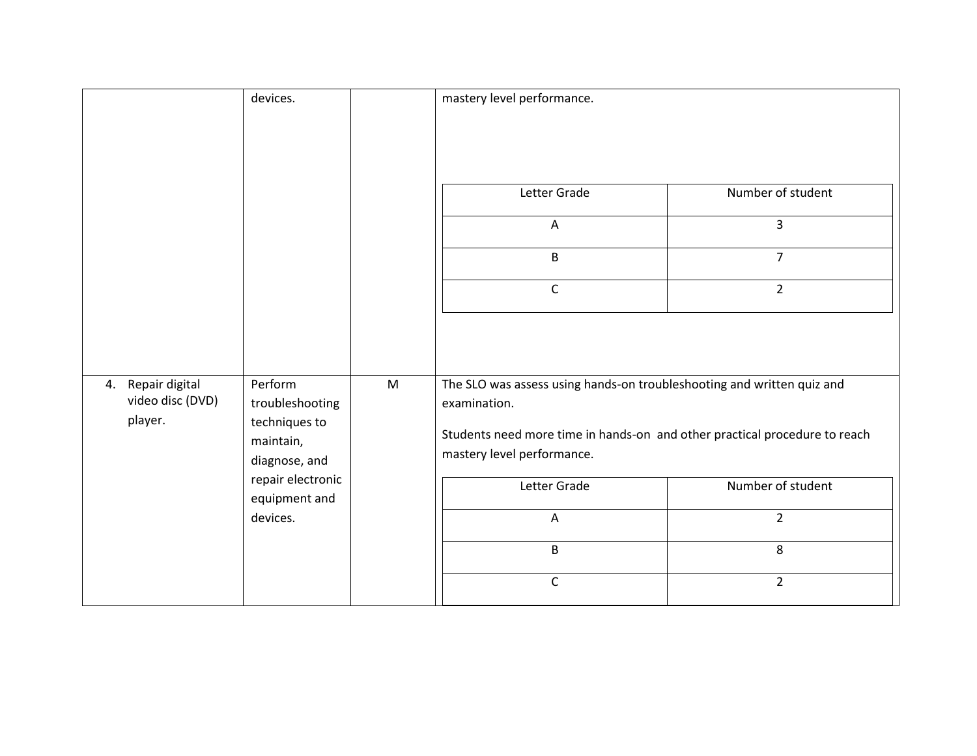|                                                  | devices.                                                                                                                    |   | mastery level performance.                                                                                               |                                                       |
|--------------------------------------------------|-----------------------------------------------------------------------------------------------------------------------------|---|--------------------------------------------------------------------------------------------------------------------------|-------------------------------------------------------|
|                                                  |                                                                                                                             |   | Letter Grade<br>A<br>B                                                                                                   | Number of student<br>$\overline{3}$<br>$\overline{7}$ |
|                                                  |                                                                                                                             |   | $\mathsf C$                                                                                                              | $\overline{2}$                                        |
|                                                  |                                                                                                                             |   |                                                                                                                          |                                                       |
| 4. Repair digital<br>video disc (DVD)<br>player. | Perform<br>troubleshooting<br>techniques to<br>maintain,<br>diagnose, and<br>repair electronic<br>equipment and<br>devices. | M | The SLO was assess using hands-on troubleshooting and written quiz and                                                   |                                                       |
|                                                  |                                                                                                                             |   | examination.<br>Students need more time in hands-on and other practical procedure to reach<br>mastery level performance. |                                                       |
|                                                  |                                                                                                                             |   | Letter Grade                                                                                                             | Number of student                                     |
|                                                  |                                                                                                                             |   | A                                                                                                                        | $\overline{2}$                                        |
|                                                  |                                                                                                                             |   | B                                                                                                                        | 8                                                     |
|                                                  |                                                                                                                             |   | $\mathsf C$                                                                                                              | $\overline{2}$                                        |